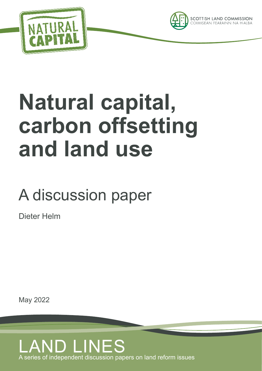



# **Natural capital, carbon offsetting and land use**

### A discussion paper

Dieter Helm

May 2022

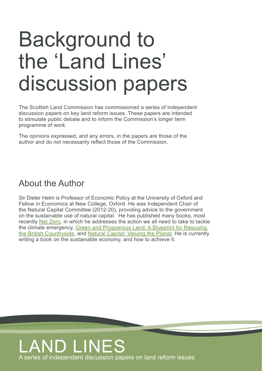## Background to the 'Land Lines' discussion papers

The Scottish Land Commission has commissioned a series of independent discussion papers on key land reform issues. These papers are intended to stimulate public debate and to inform the Commission's longer term programme of work.

The opinions expressed, and any errors, in the papers are those of the author and do not necessarily reflect those of the Commission.

#### About the Author

Sir Dieter Helm is Professor of Economic Policy at the University of Oxford and Fellow in Economics at New College, Oxford. He was Independent Chair of the Natural Capital Committee (2012-20), providing advice to the government on the sustainable use of natural capital. He has published many books, most recently [Net Zero,](https://www.waterstones.com/book/net-zero/dieter-helm/9780008404499?msclkid=4ede7f8413681f8aebea1eaa7f3df1e0) in which he addresses the action we all need to take to tackle the climate emergency, [Green and Prosperous Land: A Blueprint for Rescuing](https://harpercollins.co.uk/products/green-and-prosperous-land-a-blueprint-for-rescuing-the-british-countryside-dieter-helm?variant=32600393187406)  [the British Countryside,](https://harpercollins.co.uk/products/green-and-prosperous-land-a-blueprint-for-rescuing-the-british-countryside-dieter-helm?variant=32600393187406) and [Natural Capital: Valuing the Planet](https://www.yalebooks.co.uk/display.asp?K=9780300219371&nat=false&sort=%24rank&sf1=keyword&st1=Natural+Capital&m=1&dc=11). He is currently writing a book on the sustainable economy, and how to achieve it.

### LAND LINES A series of independent discussion papers on land reform issues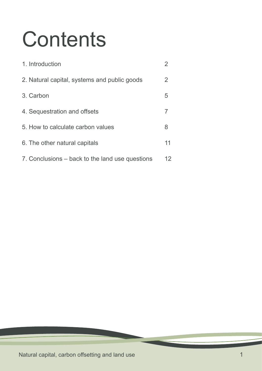# **Contents**

| 1. Introduction                                 |    |
|-------------------------------------------------|----|
| 2. Natural capital, systems and public goods    | 2  |
| 3. Carbon                                       | 5  |
| 4. Sequestration and offsets                    | 7  |
| 5. How to calculate carbon values               | 8  |
| 6. The other natural capitals                   | 11 |
| 7. Conclusions – back to the land use questions | 12 |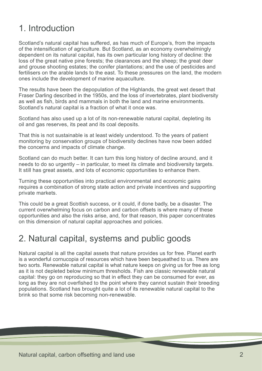#### <span id="page-3-0"></span>1. Introduction

Scotland's natural capital has suffered, as has much of Europe's, from the impacts of the intensification of agriculture. But Scotland, as an economy overwhelmingly dependent on its natural capital, has its own particular long history of decline: the loss of the great native pine forests; the clearances and the sheep; the great deer and grouse shooting estates; the conifer plantations; and the use of pesticides and fertilisers on the arable lands to the east. To these pressures on the land, the modern ones include the development of marine aquaculture.

The results have been the depopulation of the Highlands, the great wet desert that Fraser Darling described in the 1950s, and the loss of invertebrates, plant biodiversity as well as fish, birds and mammals in both the land and marine environments. Scotland's natural capital is a fraction of what it once was.

Scotland has also used up a lot of its non-renewable natural capital, depleting its oil and gas reserves, its peat and its coal deposits.

That this is not sustainable is at least widely understood. To the years of patient monitoring by conservation groups of biodiversity declines have now been added the concerns and impacts of climate change.

Scotland can do much better. It can turn this long history of decline around, and it needs to do so urgently – in particular, to meet its climate and biodiversity targets. It still has great assets, and lots of economic opportunities to enhance them.

Turning these opportunities into practical environmental and economic gains requires a combination of strong state action and private incentives and supporting private markets.

This could be a great Scottish success, or it could, if done badly, be a disaster. The current overwhelming focus on carbon and carbon offsets is where many of these opportunities and also the risks arise, and, for that reason, this paper concentrates on this dimension of natural capital approaches and policies.

#### 2. Natural capital, systems and public goods

Natural capital is all the capital assets that nature provides us for free. Planet earth is a wonderful cornucopia of resources which have been bequeathed to us. There are two sorts. Renewable natural capital is what nature keeps on giving us for free as long as it is not depleted below minimum thresholds. Fish are classic renewable natural capital: they go on reproducing so that in effect they can be consumed for ever, as long as they are not overfished to the point where they cannot sustain their breeding populations. Scotland has brought quite a lot of its renewable natural capital to the brink so that some risk becoming non-renewable.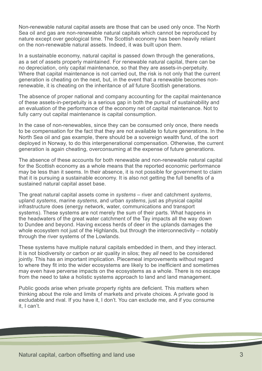Non-renewable natural capital assets are those that can be used only once. The North Sea oil and gas are non-renewable natural capitals which cannot be reproduced by nature except over geological time. The Scottish economy has been heavily reliant on the non-renewable natural assets. Indeed, it was built upon them.

In a sustainable economy, natural capital is passed down through the generations, as a set of assets properly maintained. For renewable natural capital, there can be no depreciation, only capital maintenance, so that they are assets-in-perpetuity. Where that capital maintenance is not carried out, the risk is not only that the current generation is cheating on the next, but, in the event that a renewable becomes nonrenewable, it is cheating on the inheritance of *all* future Scottish generations.

The absence of proper national and company accounting for the capital maintenance of these assets-in-perpetuity is a serious gap in both the pursuit of sustainability and an evaluation of the performance of the economy net of capital maintenance. Not to fully carry out capital maintenance is capital consumption.

In the case of non-renewables, since they can be consumed only once, there needs to be compensation for the fact that they are not available to future generations. In the North Sea oil and gas example, there should be a sovereign wealth fund, of the sort deployed in Norway, to do this intergenerational compensation. Otherwise, the current generation is again cheating, overconsuming at the expense of future generations.

The absence of these accounts for both renewable and non-renewable natural capital for the Scottish economy as a whole means that the reported economic performance may be less than it seems. In their absence, it is not possible for government to claim that it is pursuing a sustainable economy. It is also not getting the full benefits of a sustained natural capital asset base.

The great natural capital assets come in *systems* – river and catchment *systems*, upland *systems*, marine *systems*, and urban *systems*, just as physical capital infrastructure does (energy network, water, communications and transport systems). These systems are not merely the sum of their parts. What happens in the headwaters of the great water catchment of the Tay impacts all the way down to Dundee and beyond. Having excess herds of deer in the uplands damages the whole ecosystem not just of the Highlands, but through the interconnectivity – notably through the river systems of the Lowlands.

These systems have multiple natural capitals embedded in them, and they interact. It is not biodiversity *or* carbon *or* air quality in silos; they *all* need to be considered jointly. This has an important implication. Piecemeal improvements without regard to where they fit into the wider ecosystems are likely to be inefficient and sometimes may even have perverse impacts on the ecosystems as a whole. There is no escape from the need to take a holistic systems approach to land and land management.

Public goods arise when private property rights are deficient. This matters when thinking about the role and limits of markets and private choices. A private good is excludable and rival. If you have it, I don't. You can exclude me, and if you consume it, I can't.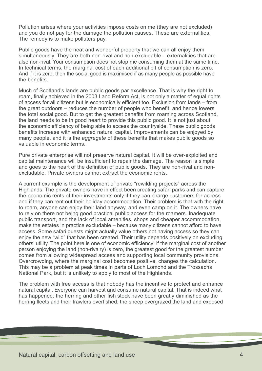Pollution arises where your activities impose costs on me (they are not excluded) and you do not pay for the damage the pollution causes. These are externalities. The remedy is to make polluters pay.

Public goods have the neat and wonderful property that we can all enjoy them simultaneously. They are both non-rival and non-excludable – externalities that are also non-rival. Your consumption does not stop me consuming them at the same time. In technical terms, the marginal cost of each additional bit of consumption is zero. And if it is zero, then the social good is maximised if as many people as possible have the benefits.

Much of Scotland's lands are public goods par excellence. That is why the right to roam, finally achieved in the 2003 Land Reform Act, is not only a matter of equal rights of access for all citizens but is economically efficient too. Exclusion from lands – from the great outdoors – reduces the number of people who benefit, and hence lowers the total social good. But to get the greatest benefits from roaming across Scotland, the land needs to be in good heart to provide this public good. It is not just about the economic efficiency of being able to access the countryside. These public goods benefits increase with enhanced natural capital. Improvements can be enjoyed by many people, and it is the *aggregate* of these benefits that makes public goods so valuable in economic terms.

Pure private enterprise will not preserve natural capital. It will be over-exploited and capital maintenance will be insufficient to repair the damage. The reason is simple and goes to the heart of the definition of public goods. They are non-rival and nonexcludable. Private owners cannot extract the economic rents.

A current example is the development of private "rewilding projects" across the Highlands. The private owners have in effect been creating safari parks and can capture the economic rents of their investments only if they can charge customers for access and if they can rent out their holiday accommodation. Their problem is that with the right to roam, anyone can enjoy their land anyway, and even camp on it. The owners have to rely on there not being good practical public access for the roamers. Inadequate public transport, and the lack of local amenities, shops and cheaper accommodation, make the estates in practice excludable – because many citizens cannot afford to have access. Some safari guests might actually value others not having access so they can enjoy the new "wild" that has been created. Their utility depends positively on excluding others' utility. The point here is one of economic efficiency: if the marginal cost of another person enjoying the land (non-rivalry) is zero, the greatest good for the greatest number comes from allowing widespread access and supporting local community provisions. Overcrowding, where the marginal cost becomes positive, changes the calculation. This may be a problem at peak times in parts of Loch Lomond and the Trossachs National Park, but it is unlikely to apply to most of the Highlands.

The problem with free access is that nobody has the incentive to protect and enhance natural capital. Everyone can harvest and consume natural capital. That is indeed what has happened: the herring and other fish stock have been greatly diminished as the herring fleets and their trawlers overfished; the sheep overgrazed the land and exposed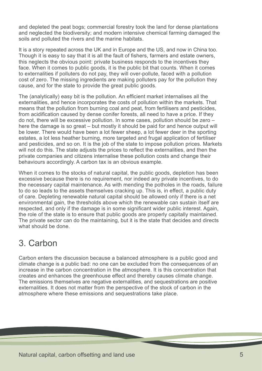<span id="page-6-0"></span>and depleted the peat bogs; commercial forestry took the land for dense plantations and neglected the biodiversity; and modern intensive chemical farming damaged the soils and polluted the rivers and the marine habitats.

It is a story repeated across the UK and in Europe and the US, and now in China too. Though it is easy to say that it is all the fault of fishers, farmers and estate owners, this neglects the obvious point: private business responds to the incentives they face. When it comes to public goods, it is the public bit that counts. When it comes to externalities if polluters do not pay, they will over-pollute, faced with a pollution cost of zero. The missing ingredients are making polluters pay for the pollution they cause, and for the state to provide the great public goods.

The (analytically) easy bit is the pollution. An efficient market internalises all the externalities, and hence incorporates the costs of pollution within the markets. That means that the pollution from burning coal and peat, from fertilisers and pesticides, from acidification caused by dense conifer forests, all need to have a price. If they do not, there will be excessive pollution. In some cases, pollution should be zero – here the damage is so great – but mostly it should be paid for and hence output will be lower. There would have been a lot fewer sheep, a lot fewer deer in the sporting estates, a lot less heather burning, more targeted and frugal application of fertiliser and pesticides, and so on. It is the job of the state to impose pollution prices. Markets will not do this. The state adjusts the prices to reflect the externalities, and then the private companies and citizens internalise these pollution costs and change their behaviours accordingly. A carbon tax is an obvious example.

When it comes to the stocks of natural capital, the public goods, depletion has been excessive because there is no requirement, nor indeed any private incentives, to do the necessary capital maintenance. As with mending the potholes in the roads, failure to do so leads to the assets themselves cracking up. This is, in effect, a public duty of care. Depleting renewable natural capital should be allowed only if there is a net environmental gain, the thresholds above which the renewable can sustain itself are respected, and only if the damage is in some significant wider public interest. Again, the role of the state is to ensure that public goods are properly capitally maintained. The private sector can do the maintaining, but it is the state that decides and directs what should be done.

#### 3. Carbon

Carbon enters the discussion because a balanced atmosphere is a public good and climate change is a public bad: no one can be excluded from the consequences of an increase in the carbon concentration in the atmosphere. It is this concentration that creates and enhances the greenhouse effect and thereby causes climate change. The emissions themselves are negative externalities, and sequestrations are positive externalities. It does not matter from the perspective of the stock of carbon in the atmosphere where these emissions and sequestrations take place.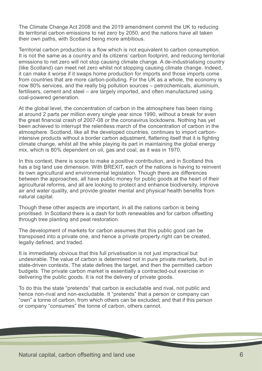The Climate Change Act 2008 and the 2019 amendment commit the UK to reducing its territorial carbon emissions to net zero by 2050, and the nations have all taken their own paths, with Scotland being more ambitious.

Territorial carbon production is a flow which is not equivalent to carbon consumption. It is not the same as a country and its citizens' carbon footprint, and reducing territorial emissions to net zero will not stop causing climate change. A de-industrialising country (like Scotland) can meet net zero whilst not stopping causing climate change. Indeed, it can make it worse if it swaps home production for imports and those imports come from countries that are more carbon-polluting. For the UK as a whole, the economy is now 80% services, and the really big pollution sources – petrochemicals, aluminium, fertilisers, cement and steel – are largely imported, and often manufactured using coal-powered generation.

At the global level, the concentration of carbon in the atmosphere has been rising at around 2 parts per million every single year since 1990, without a break for even the great financial crash of 2007-08 or the coronavirus lockdowns. Nothing has yet been achieved to interrupt the relentless march of the concentration of carbon in the atmosphere. Scotland, like all the developed countries, continues to import carbonintensive products without a border carbon adjustment, flattering itself that it is fighting climate change, whilst all the while playing its part in maintaining the global energy mix, which is 80% dependent on oil, gas and coal, as it was in 1970.

In this context, there is scope to make a positive contribution, and in Scotland this has a big land use dimension. With BREXIT, each of the nations is having to reinvent its own agricultural and environmental legislation. Though there are differences between the approaches, all have public money for public goods at the heart of their agricultural reforms, and all are looking to protect and enhance biodiversity, improve air and water quality, and provide greater mental and physical health benefits from natural capital.

Though these other aspects are important, in all the nations carbon is being prioritised. In Scotland there is a dash for both renewables and for carbon offsetting through tree planting and peat restoration.

The development of markets for carbon assumes that this public good can be transposed into a private one, and hence a private property right can be created, legally defined, and traded.

It is immediately obvious that this full privatisation is not just impractical but undesirable. The value of carbon is determined not in pure private markets, but in state-driven contexts. The state defines the target, and then the permitted carbon budgets. The private carbon market is essentially a contracted-out exercise in delivering the public goods. It is not the delivery of private goods.

To do this the state "pretends" that carbon is excludable and rival, not public and hence non-rival and non-excludable. It "pretends" that a person or company can "own" a tonne of carbon, from which others can be excluded; and that if this person or company "consumes" the tonne of carbon, others cannot.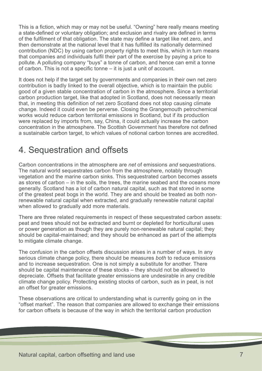<span id="page-8-0"></span>This is a fiction, which may or may not be useful. "Owning" here really means meeting a state-defined or voluntary obligation; and exclusion and rivalry are defined in terms of the fulfilment of that obligation. The state may define a target like net zero, and then demonstrate at the national level that it has fulfilled its nationally determined contribution (NDC) by using carbon property rights to meet this, which in turn means that companies and individuals fulfil their part of the exercise by paying a price to pollute. A polluting company "buys" a tonne of carbon, and hence can emit a tonne of carbon. This is not a specific tonne – it is just a unit of account.

It does not help if the target set by governments and companies in their own net zero contribution is badly linked to the overall objective, which is to maintain the public good of a given stable concentration of carbon in the atmosphere. Since a territorial carbon production target, like that adopted in Scotland, does not necessarily mean that, in meeting this definition of net zero Scotland does not stop causing climate change. Indeed it could even be perverse. Closing the Grangemouth petrochemical works would reduce carbon territorial emissions in Scotland, but if its production were replaced by imports from, say, China, it could actually increase the carbon concentration in the atmosphere. The Scottish Government has therefore not defined a sustainable carbon target, to which values of notional carbon tonnes are accredited.

#### 4. Sequestration and offsets

Carbon concentrations in the atmosphere are *net* of emissions *and* sequestrations. The natural world sequestrates carbon from the atmosphere, notably through vegetation and the marine carbon sinks. This sequestrated carbon becomes assets as stores of carbon – in the soils, the trees, the marine seabed and the oceans more generally. Scotland has a lot of carbon natural capital, such as that stored in some of the greatest peat bogs in the world. They are and should be treated as both nonrenewable natural capital when extracted, and gradually renewable natural capital when allowed to gradually add more materials.

There are three related requirements in respect of these sequestrated carbon assets: peat and trees should not be extracted and burnt or depleted for horticultural uses or power generation as though they are purely non-renewable natural capital; they should be capital-maintained; and they should be enhanced as part of the attempts to mitigate climate change.

The confusion in the carbon offsets discussion arises in a number of ways. In any serious climate change policy, there should be measures *both* to reduce emissions and to increase sequestration. One is not simply a substitute for another. There should be capital maintenance of these stocks – they should not be allowed to depreciate. Offsets that facilitate greater emissions are undesirable in any credible climate change policy. Protecting existing stocks of carbon, such as in peat, is not an offset for greater emissions.

These observations are critical to understanding what is currently going on in the "offset market". The reason that companies are allowed to exchange their emissions for carbon offsets is because of the way in which the territorial carbon production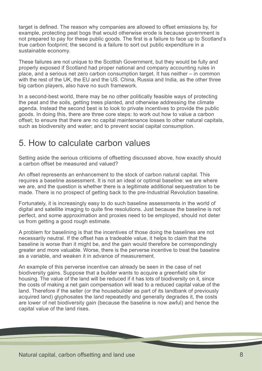<span id="page-9-0"></span>target is defined. The reason why companies are allowed to offset emissions by, for example, protecting peat bogs that would otherwise erode is because government is not prepared to pay for these public goods. The first is a failure to face up to Scotland's true carbon footprint; the second is a failure to sort out public expenditure in a sustainable economy.

These failures are not unique to the Scottish Government, but they would be fully and properly exposed if Scotland had proper national and company accounting rules in place, and a serious net zero carbon consumption target. It has neither – in common with the rest of the UK, the EU and the US, China, Russia and India, as the other three big carbon players, also have no such framework.

In a second-best world, there may be no other politically feasible ways of protecting the peat and the soils, getting trees planted, and otherwise addressing the climate agenda. Instead the second best is to look to private incentives to provide the public goods. In doing this, there are three core steps: to work out how to value a carbon offset; to ensure that there are no capital maintenance losses to other natural capitals, such as biodiversity and water; and to prevent social capital consumption.

#### 5. How to calculate carbon values

Setting aside the serious criticisms of offsetting discussed above, how exactly should a carbon offset be measured and valued?

An offset represents an enhancement to the stock of carbon natural capital. This requires a baseline assessment. It is not an ideal or optimal baseline: we are where we are, and the question is whether there is a legitimate additional sequestration to be made. There is no prospect of getting back to the pre-Industrial Revolution baseline.

Fortunately, it is increasingly easy to do such baseline assessments in the world of digital and satellite imaging to quite fine resolutions. Just because the baseline is not perfect, and some approximation and proxies need to be employed, should not deter us from getting a good rough estimate.

A problem for baselining is that the incentives of those doing the baselines are not necessarily neutral. If the offset has a tradeable value, it helps to claim that the baseline is worse than it might be, and the gain would therefore be correspondingly greater and more valuable. Worse, there is the perverse incentive to treat the baseline as a variable, and weaken it in advance of measurement.

An example of this perverse incentive can already be seen in the case of net biodiversity gains. Suppose that a builder wants to acquire a greenfield site for housing. The value of the land will be reduced if it has lots of biodiversity on it, since the costs of making a net gain compensation will lead to a reduced capital value of the land. Therefore if the seller (or the housebuilder as part of its landbank of previously acquired land) glyphosates the land repeatedly and generally degrades it, the costs are lower of net biodiversity gain (because the baseline is now awful) and hence the capital value of the land rises.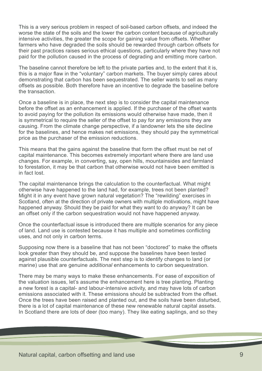This is a very serious problem in respect of soil-based carbon offsets, and indeed the worse the state of the soils and the lower the carbon content because of agriculturally intensive activities, the greater the scope for gaining value from offsets. Whether farmers who have degraded the soils should be rewarded through carbon offsets for their past practices raises serious ethical questions, particularly where they have not paid for the pollution caused in the process of degrading and emitting more carbon.

The baseline cannot therefore be left to the private parties and, to the extent that it is, this is a major flaw in the "voluntary" carbon markets. The buyer simply cares about demonstrating that carbon has been sequestrated. The seller wants to sell as many offsets as possible. Both therefore have an incentive to degrade the baseline before the transaction.

Once a baseline is in place, the next step is to consider the capital maintenance before the offset as an enhancement is applied. If the purchaser of the offset wants to avoid paying for the pollution its emissions would otherwise have made, then it is symmetrical to require the seller of the offset to pay for any emissions they are causing. From the climate change perspective, if a landowner lets the site decline for the baselines, and hence makes net emissions, they should pay the symmetrical price as the purchaser of the emission reductions.

This means that the gains against the baseline that form the offset must be net of capital maintenance. This becomes extremely important where there are land use changes. For example, in converting, say, open hills, mountainsides and farmland to forestation, it may be that carbon that otherwise would not have been emitted is in fact lost.

The capital maintenance brings the calculation to the counterfactual. What might otherwise have happened to the land had, for example, trees not been planted? Might it in any event have grown natural vegetation? The "rewilding" exercises in Scotland, often at the direction of private owners with multiple motivations, might have happened anyway. Should they be paid for what they want to do anyway? It can be an offset only if the carbon sequestration would not have happened anyway.

Once the counterfactual issue is introduced there are multiple scenarios for any piece of land. Land use is contested because it has multiple and sometimes conflicting uses, and not only in carbon terms.

Supposing now there is a baseline that has not been "doctored" to make the offsets look greater than they should be, and suppose the baselines have been tested against plausible counterfactuals. The next step is to identify changes to land (or marine) use that are genuine *additional* enhancements to carbon sequestration.

There may be many ways to make these enhancements. For ease of exposition of the valuation issues, let's assume the enhancement here is tree planting. Planting a new forest is a capital- and labour-intensive activity, and may have lots of carbon emissions associated with it. These emissions should be subtracted from the offset. Once the trees have been raised and planted out, and the soils have been disturbed, there is a lot of capital maintenance of these new renewable natural capital assets. In Scotland there are lots of deer (too many). They like eating saplings, and so they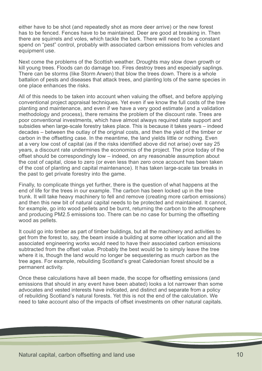either have to be shot (and repeatedly shot as more deer arrive) or the new forest has to be fenced. Fences have to be maintained. Deer are good at breaking in. Then there are squirrels and voles, which tackle the bark. There will need to be a constant spend on "pest" control, probably with associated carbon emissions from vehicles and equipment use.

Next come the problems of the Scottish weather. Droughts may slow down growth or kill young trees. Floods can do damage too. Fires destroy trees and especially saplings. There can be storms (like Storm Arwen) that blow the trees down. There is a whole battalion of pests and diseases that attack trees, and planting lots of the same species in one place enhances the risks.

All of this needs to be taken into account when valuing the offset, and before applying conventional project appraisal techniques. Yet even if we know the full costs of the tree planting and maintenance, and even if we have a very good estimate (and a validation methodology and process), there remains the problem of the discount rate. Trees are poor conventional investments, which have almost always required state support and subsidies when large-scale forestry takes place. This is because it takes years – indeed decades – between the outlay of the original costs, and then the yield of the timber or carbon in the offsetting case. In the meantime, the land yields little or nothing. Even at a very low cost of capital (as if the risks identified above did not arise) over say 25 years, a discount rate undermines the economics of the project. The price today of the offset should be correspondingly low – indeed, on any reasonable assumption about the cost of capital, close to zero (or even less than zero once account has been taken of the cost of planting and capital maintenance). It has taken large-scale tax breaks in the past to get private forestry into the game.

Finally, to complicate things yet further, there is the question of what happens at the end of life for the trees in our example. The carbon has been locked up in the tree trunk. It will take heavy machinery to fell and remove (creating more carbon emissions) and then this new bit of natural capital needs to be protected and maintained. It cannot, for example, go into wood pellets and be burnt, returning the carbon to the atmosphere and producing PM2.5 emissions too. There can be no case for burning the offsetting wood as pellets.

It could go into timber as part of timber buildings, but all the machinery and activities to get from the forest to, say, the beam inside a building at some other location and all the associated engineering works would need to have their associated carbon emissions subtracted from the offset value. Probably the best would be to simply leave the tree where it is, though the land would no longer be sequestering as much carbon as the tree ages. For example, rebuilding Scotland's great Caledonian forest should be a permanent activity.

Once these calculations have all been made, the scope for offsetting emissions (and emissions that should in any event have been abated) looks a lot narrower than some advocates and vested interests have indicated, and distinct and separate from a policy of rebuilding Scotland's natural forests. Yet this is not the end of the calculation. We need to take account also of the impacts of offset investments on other natural capitals.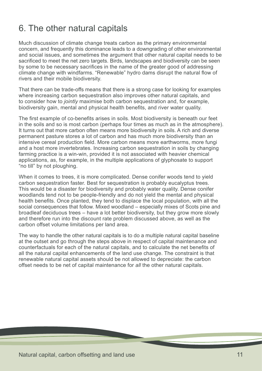#### <span id="page-12-0"></span>6. The other natural capitals

Much discussion of climate change treats carbon as the primary environmental concern, and frequently this dominance leads to a downgrading of other environmental and social issues, and sometimes the argument that other natural capital needs to be sacrificed to meet the net zero targets. Birds, landscapes and biodiversity can be seen by some to be necessary sacrifices in the name of the greater good of addressing climate change with windfarms. "Renewable" hydro dams disrupt the natural flow of rivers and their mobile biodiversity.

That there can be trade-offs means that there is a strong case for looking for examples where increasing carbon sequestration also improves other natural capitals, and to consider how to *jointly* maximise both carbon sequestration and, for example, biodiversity gain, mental and physical health benefits, and river water quality.

The first example of co-benefits arises in soils. Most biodiversity is beneath our feet in the soils and so is most carbon (perhaps four times as much as in the atmosphere). It turns out that more carbon often means more biodiversity in soils. A rich and diverse permanent pasture stores a lot of carbon and has much more biodiversity than an intensive cereal production field. More carbon means more earthworms, more fungi and a host more invertebrates. Increasing carbon sequestration in soils by changing farming practice is a win-win, provided it is not associated with heavier chemical applications, as, for example, in the multiple applications of glyphosate to support "no till" by not ploughing.

When it comes to trees, it is more complicated. Dense conifer woods tend to yield carbon sequestration faster. Best for sequestration is probably eucalyptus trees. This would be a disaster for biodiversity and probably water quality. Dense conifer woodlands tend not to be people-friendly and do not yield the mental and physical health benefits. Once planted, they tend to displace the local population, with all the social consequences that follow. Mixed woodland – especially mixes of Scots pine and broadleaf deciduous trees – have a lot better biodiversity, but they grow more slowly and therefore run into the discount rate problem discussed above, as well as the carbon offset volume limitations per land area.

The way to handle the other natural capitals is to do a multiple natural capital baseline at the outset and go through the steps above in respect of capital maintenance and counterfactuals for each of the natural capitals, and to calculate the net benefits of all the natural capital enhancements of the land use change. The constraint is that renewable natural capital assets should be not allowed to depreciate: the carbon offset needs to be net of capital maintenance for *all* the other natural capitals.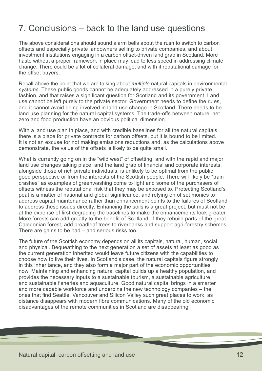#### <span id="page-13-0"></span>7. Conclusions – back to the land use questions

The above considerations should sound alarm bells about the rush to switch to carbon offsets and especially private landowners selling to private companies, and about investment institutions engaging in a carbon offset-driven land grab in Scotland. More haste without a proper framework in place may lead to less speed in addressing climate change. There could be a lot of collateral damage, and with it reputational damage for the offset buyers.

Recall above the point that we are talking about *multiple* natural capitals in environmental *systems*. These public goods cannot be adequately addressed in a purely private fashion, and that raises a significant question for Scotland and its government. Land use cannot be left purely to the private sector. Government needs to define the rules, and it cannot avoid being involved in land use change in Scotland. There needs to be land use planning for the natural capital systems. The trade-offs between nature, net zero and food production have an obvious political dimension.

With a land use plan in place, and with credible baselines for all the natural capitals, there is a place for private contracts for carbon offsets, but it is bound to be limited. It is not an excuse for not making emissions reductions and, as the calculations above demonstrate, the value of the offsets is likely to be quite small.

What is currently going on in the "wild west" of offsetting, and with the rapid and major land use changes taking place, and the land grab of financial and corporate interests, alongside those of rich private individuals, is unlikely to be optimal from the public good perspective or from the interests of the Scottish people. There will likely be "train crashes" as examples of greenwashing come to light and some of the purchasers of offsets witness the reputational risk that they may be exposed to. Protecting Scotland's peat is a matter of national and global significance, and relying on offset monies to address capital maintenance rather than enhancement points to the failures of Scotland to address these issues directly. Enhancing the soils is a great project, but must not be at the expense of first degrading the baselines to make the enhancements look greater. More forests can add greatly to the benefit of Scotland, if they rebuild parts of the great Caledonian forest, add broadleaf trees to riverbanks and support agri-forestry schemes. There are gains to be had – and serious risks too.

The future of the Scottish economy depends on all its capitals, natural, human, social and physical. Bequeathing to the next generation a set of assets at least as good as the current generation inherited would leave future citizens with the capabilities to choose how to live their lives. In Scotland's case, the natural capitals figure strongly in this inheritance, and they also form a major part of the economic opportunities now. Maintaining and enhancing natural capital builds up a healthy population, and provides the necessary inputs to a sustainable tourism, a sustainable agriculture, and sustainable fisheries and aquaculture. Good natural capital brings in a smarter and more capable workforce and underpins the new technology companies – the ones that find Seattle, Vancouver and Silicon Valley such great places to work, as distance disappears with modern fibre communications. Many of the old economic disadvantages of the remote communities in Scotland are disappearing.